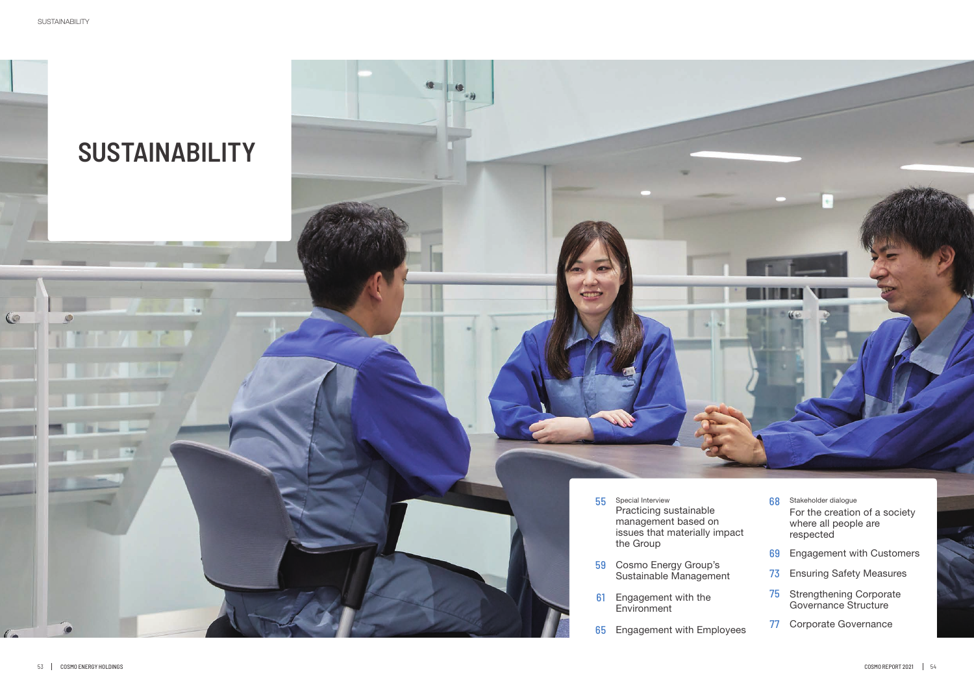## **SUSTAINABILITY**

- 55 Special Interview Practicing sustainable management based on issues that materially impact the Group
- 59 Cosmo Energy Group's Sustainable Management
- **61** Engagement with the Environment
- 65 Engagement with Employee

| 68<br>:t                         | Stakeholder dialoque<br>For the creation of a society<br>where all people are<br>respected |
|----------------------------------|--------------------------------------------------------------------------------------------|
| 69                               | <b>Engagement with Customers</b>                                                           |
| 73                               | <b>Ensuring Safety Measures</b>                                                            |
| 75                               | <b>Strengthening Corporate</b><br><b>Governance Structure</b>                              |
| $\boldsymbol{\mathcal{U}}$<br>ЭS | Corporate Governance                                                                       |

 $\bigcirc$ 

**UT**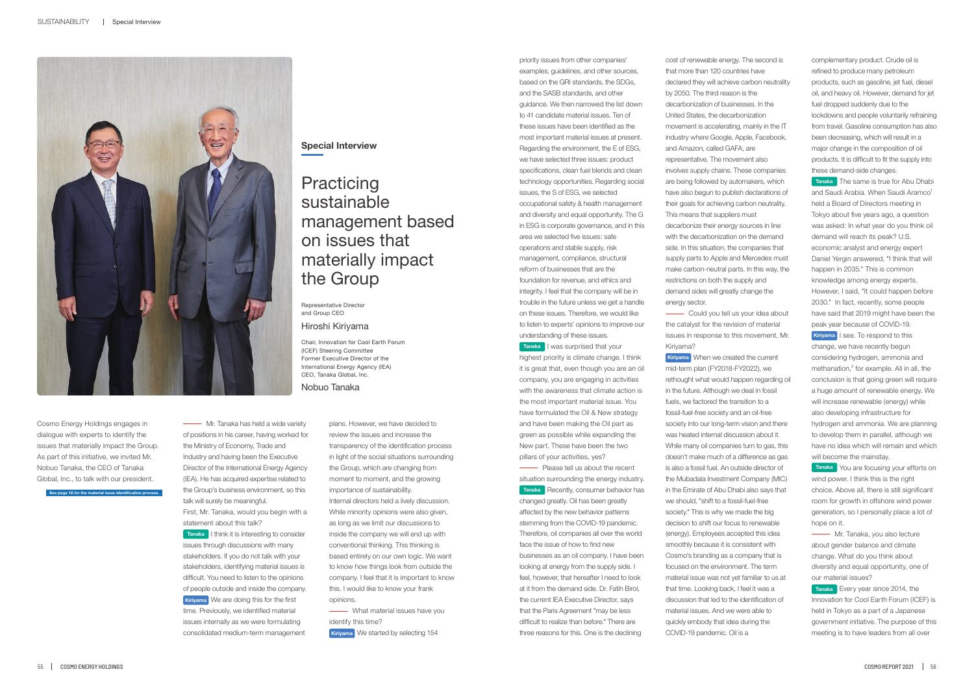## **Practicing** sustainable management based on issues that materially impact the Group



**Special Interview**

Representative Director and Group CEO

Hiroshi Kiriyama

Chair, Innovation for Cool Earth Forum (ICEF) Steering Committee Former Executive Director of the International Energy Agency (IEA) CEO, Tanaka Global, Inc. Nobuo Tanaka

**See page 18 for the material issue identification process.**

**Wr. Tanaka has held a wide variety** of positions in his career, having worked for the Ministry of Economy, Trade and Industry and having been the Executive Director of the International Energy Agency (IEA). He has acquired expertise related to the Group's business environment, so this talk will surely be meaningful. First, Mr. Tanaka, would you begin with a statement about this talk?

Cosmo Energy Holdings engages in dialogue with experts to identify the issues that materially impact the Group. As part of this initiative, we invited Mr. Nobuo Tanaka, the CEO of Tanaka Global, Inc., to talk with our president.

> **Tanaka** I think it is interesting to consider issues through discussions with many stakeholders. If you do not talk with your stakeholders, identifying material issues is difficult. You need to listen to the opinions of people outside and inside the company. We are doing this for the first **Kiriyama** time. Previously, we identified material issues internally as we were formulating consolidated medium-term management

plans. However, we have decided to review the issues and increase the transparency of the identification process in light of the social situations surrounding the Group, which are changing from moment to moment, and the growing importance of sustainability. Internal directors held a lively discussion. While minority opinions were also given, as long as we limit our discussions to inside the company we will end up with conventional thinking. This thinking is based entirely on our own logic. We want to know how things look from outside the company. I feel that it is important to know this. I would like to know your frank opinions. **What material issues have you** 

**Tanaka** I was surprised that your highest priority is climate change. I think it is great that, even though you are an oil company, you are engaging in activities with the awareness that climate action is the most important material issue. You have formulated the Oil & New strategy and have been making the Oil part as green as possible while expanding the New part. These have been the two pillars of your activities, yes?

identify this time?

**-** Please tell us about the recent situation surrounding the energy industry. **Tanaka** Recently, consumer behavior has changed greatly. Oil has been greatly affected by the new behavior patterns stemming from the COVID-19 pandemic. Therefore, oil companies all over the world face the issue of how to find new businesses as an oil company. I have been looking at energy from the supply side. I feel, however, that hereafter I need to look at it from the demand side. Dr. Fatih Birol, the current IEA Executive Director, says that the Paris Agreement "may be less difficult to realize than before." There are three reasons for this. One is the declining

**Kiriyama** We started by selecting 154

**Could you tell us your idea about** the catalyst for the revision of material issues in response to this movement, Mr. Kiriyama?

priority issues from other companies' examples, guidelines, and other sources, based on the GRI standards, the SDGs, and the SASB standards, and other guidance. We then narrowed the list down to 41 candidate material issues. Ten of these issues have been identified as the most important material issues at present. Regarding the environment, the E of ESG, we have selected three issues: product specifications, clean fuel blends and clean technology opportunities. Regarding social issues, the S of ESG, we selected occupational safety & health management and diversity and equal opportunity. The G in ESG is corporate governance, and in this area we selected five issues: safe operations and stable supply, risk management, compliance, structural reform of businesses that are the foundation for revenue, and ethics and integrity. I feel that the company will be in trouble in the future unless we get a handle on these issues. Therefore, we would like to listen to experts' opinions to improve our understanding of these issues.

**Tanaka** The same is true for Abu Dhabi and Saudi Arabia. When Saudi Aramco<sup>1</sup> held a Board of Directors meeting in Tokyo about five years ago, a question was asked: In what year do you think oil demand will reach its peak? U.S. economic analyst and energy expert Daniel Yergin answered, "I think that will happen in 2035." This is common knowledge among energy experts. However, I said, "It could happen before 2030." In fact, recently, some people have said that 2019 might have been the peak year because of COVID-19.

**Kiriyama** I see. To respond to this change, we have recently begun considering hydrogen, ammonia and methanation, $2$  for example. All in all, the conclusion is that going green will require a huge amount of renewable energy. We will increase renewable (energy) while also developing infrastructure for hydrogen and ammonia. We are planning to develop them in parallel, although we have no idea which will remain and which will become the mainstay.

**Wr. Tanaka, you also lecture** about gender balance and climate change. What do you think about diversity and equal opportunity, one of our material issues?

cost of renewable energy. The second is that more than 120 countries have declared they will achieve carbon neutrality by 2050. The third reason is the decarbonization of businesses. In the United States, the decarbonization movement is accelerating, mainly in the IT industry where Google, Apple, Facebook, and Amazon, called GAFA, are representative. The movement also involves supply chains. These companies are being followed by automakers, which have also begun to publish declarations of their goals for achieving carbon neutrality. This means that suppliers must decarbonize their energy sources in line with the decarbonization on the demand side. In this situation, the companies that supply parts to Apple and Mercedes must make carbon-neutral parts. In this way, the restrictions on both the supply and demand sides will greatly change the energy sector.

When we created the current **Kiriyama** mid-term plan (FY2018-FY2022), we rethought what would happen regarding oil in the future. Although we deal in fossil fuels, we factored the transition to a fossil-fuel-free society and an oil-free society into our long-term vision and there was heated internal discussion about it. While many oil companies turn to gas, this doesn't make much of a difference as gas is also a fossil fuel. An outside director of the Mubadala Investment Company (MIC) in the Emirate of Abu Dhabi also says that we should, "shift to a fossil-fuel-free society." This is why we made the big decision to shift our focus to renewable (energy). Employees accepted this idea smoothly because it is consistent with Cosmo's branding as a company that is focused on the environment. The term material issue was not yet familiar to us at that time. Looking back, I feel it was a discussion that led to the identification of material issues. And we were able to quickly embody that idea during the COVID-19 pandemic. Oil is a

complementary product. Crude oil is refined to produce many petroleum products, such as gasoline, jet fuel, diesel oil, and heavy oil. However, demand for jet fuel dropped suddenly due to the lockdowns and people voluntarily refraining from travel. Gasoline consumption has also been decreasing, which will result in a major change in the composition of oil products. It is difficult to fit the supply into these demand-side changes.

You are focusing your efforts on **Tanaka** wind power. I think this is the right choice. Above all, there is still significant room for growth in offshore wind power generation, so I personally place a lot of hope on it.

Every year since 2014, the **Tanaka** Innovation for Cool Earth Forum (ICEF) is held in Tokyo as a part of a Japanese government initiative. The purpose of this meeting is to have leaders from all over